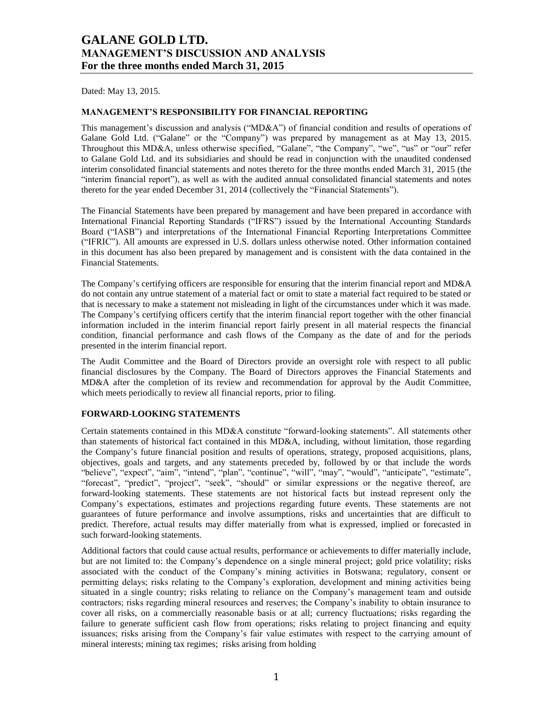Dated: May 13, 2015.

### **MANAGEMENT'S RESPONSIBILITY FOR FINANCIAL REPORTING**

This management's discussion and analysis ("MD&A") of financial condition and results of operations of Galane Gold Ltd. ("Galane" or the "Company") was prepared by management as at May 13, 2015. Throughout this MD&A, unless otherwise specified, "Galane", "the Company", "we", "us" or "our" refer to Galane Gold Ltd. and its subsidiaries and should be read in conjunction with the unaudited condensed interim consolidated financial statements and notes thereto for the three months ended March 31, 2015 (the "interim financial report"), as well as with the audited annual consolidated financial statements and notes thereto for the year ended December 31, 2014 (collectively the "Financial Statements").

The Financial Statements have been prepared by management and have been prepared in accordance with International Financial Reporting Standards ("IFRS") issued by the International Accounting Standards Board ("IASB") and interpretations of the International Financial Reporting Interpretations Committee ("IFRIC"). All amounts are expressed in U.S. dollars unless otherwise noted. Other information contained in this document has also been prepared by management and is consistent with the data contained in the Financial Statements.

The Company's certifying officers are responsible for ensuring that the interim financial report and MD&A do not contain any untrue statement of a material fact or omit to state a material fact required to be stated or that is necessary to make a statement not misleading in light of the circumstances under which it was made. The Company's certifying officers certify that the interim financial report together with the other financial information included in the interim financial report fairly present in all material respects the financial condition, financial performance and cash flows of the Company as the date of and for the periods presented in the interim financial report.

The Audit Committee and the Board of Directors provide an oversight role with respect to all public financial disclosures by the Company. The Board of Directors approves the Financial Statements and MD&A after the completion of its review and recommendation for approval by the Audit Committee, which meets periodically to review all financial reports, prior to filing.

### **FORWARD-LOOKING STATEMENTS**

Certain statements contained in this MD&A constitute "forward-looking statements". All statements other than statements of historical fact contained in this MD&A, including, without limitation, those regarding the Company's future financial position and results of operations, strategy, proposed acquisitions, plans, objectives, goals and targets, and any statements preceded by, followed by or that include the words "believe", "expect", "aim", "intend", "plan", "continue", "will", "may", "would", "anticipate", "estimate", "forecast", "predict", "project", "seek", "should" or similar expressions or the negative thereof, are forward-looking statements. These statements are not historical facts but instead represent only the Company's expectations, estimates and projections regarding future events. These statements are not guarantees of future performance and involve assumptions, risks and uncertainties that are difficult to predict. Therefore, actual results may differ materially from what is expressed, implied or forecasted in such forward-looking statements.

Additional factors that could cause actual results, performance or achievements to differ materially include, but are not limited to: the Company's dependence on a single mineral project; gold price volatility; risks associated with the conduct of the Company's mining activities in Botswana; regulatory, consent or permitting delays; risks relating to the Company's exploration, development and mining activities being situated in a single country; risks relating to reliance on the Company's management team and outside contractors; risks regarding mineral resources and reserves; the Company's inability to obtain insurance to cover all risks, on a commercially reasonable basis or at all; currency fluctuations; risks regarding the failure to generate sufficient cash flow from operations; risks relating to project financing and equity issuances; risks arising from the Company's fair value estimates with respect to the carrying amount of mineral interests; mining tax regimes; risks arising from holding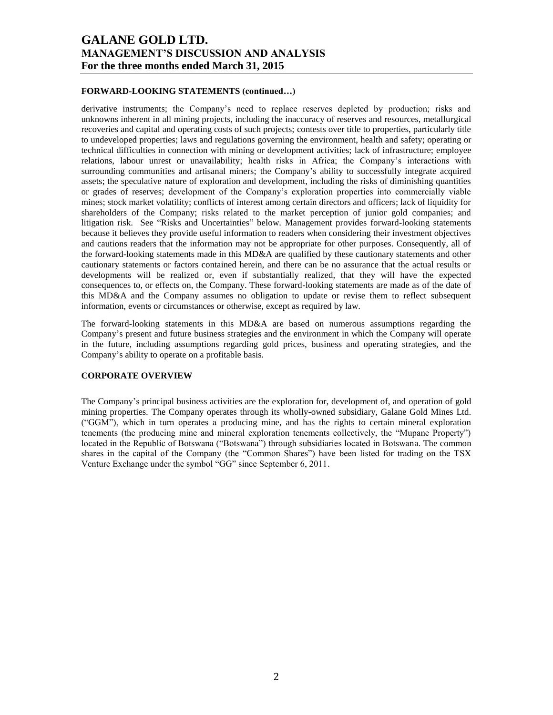### **FORWARD-LOOKING STATEMENTS (continued…)**

derivative instruments; the Company's need to replace reserves depleted by production; risks and unknowns inherent in all mining projects, including the inaccuracy of reserves and resources, metallurgical recoveries and capital and operating costs of such projects; contests over title to properties, particularly title to undeveloped properties; laws and regulations governing the environment, health and safety; operating or technical difficulties in connection with mining or development activities; lack of infrastructure; employee relations, labour unrest or unavailability; health risks in Africa; the Company's interactions with surrounding communities and artisanal miners; the Company's ability to successfully integrate acquired assets; the speculative nature of exploration and development, including the risks of diminishing quantities or grades of reserves; development of the Company's exploration properties into commercially viable mines; stock market volatility; conflicts of interest among certain directors and officers; lack of liquidity for shareholders of the Company; risks related to the market perception of junior gold companies; and litigation risk. See "Risks and Uncertainties" below. Management provides forward-looking statements because it believes they provide useful information to readers when considering their investment objectives and cautions readers that the information may not be appropriate for other purposes. Consequently, all of the forward-looking statements made in this MD&A are qualified by these cautionary statements and other cautionary statements or factors contained herein, and there can be no assurance that the actual results or developments will be realized or, even if substantially realized, that they will have the expected consequences to, or effects on, the Company. These forward-looking statements are made as of the date of this MD&A and the Company assumes no obligation to update or revise them to reflect subsequent information, events or circumstances or otherwise, except as required by law.

The forward-looking statements in this MD&A are based on numerous assumptions regarding the Company's present and future business strategies and the environment in which the Company will operate in the future, including assumptions regarding gold prices, business and operating strategies, and the Company's ability to operate on a profitable basis.

### **CORPORATE OVERVIEW**

The Company's principal business activities are the exploration for, development of, and operation of gold mining properties. The Company operates through its wholly-owned subsidiary, Galane Gold Mines Ltd. ("GGM"), which in turn operates a producing mine, and has the rights to certain mineral exploration tenements (the producing mine and mineral exploration tenements collectively, the "Mupane Property") located in the Republic of Botswana ("Botswana") through subsidiaries located in Botswana. The common shares in the capital of the Company (the "Common Shares") have been listed for trading on the TSX Venture Exchange under the symbol "GG" since September 6, 2011.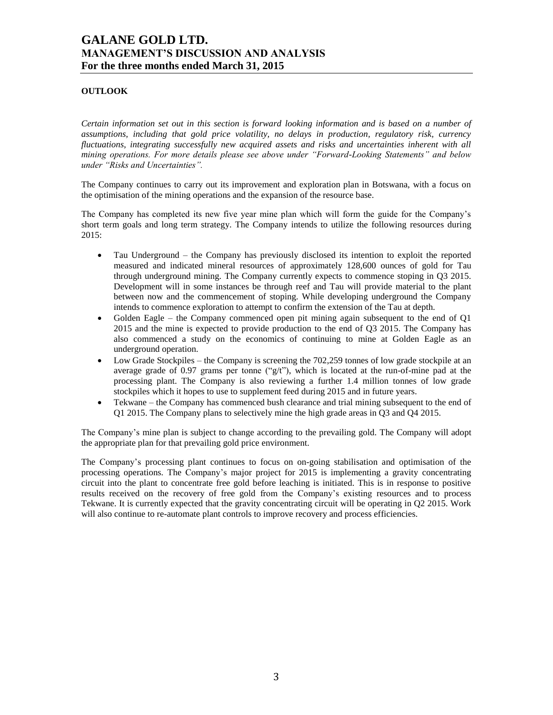### **OUTLOOK**

*Certain information set out in this section is forward looking information and is based on a number of assumptions, including that gold price volatility, no delays in production, regulatory risk, currency fluctuations, integrating successfully new acquired assets and risks and uncertainties inherent with all mining operations. For more details please see above under "Forward-Looking Statements" and below under "Risks and Uncertainties".*

The Company continues to carry out its improvement and exploration plan in Botswana, with a focus on the optimisation of the mining operations and the expansion of the resource base.

The Company has completed its new five year mine plan which will form the guide for the Company's short term goals and long term strategy. The Company intends to utilize the following resources during 2015:

- Tau Underground the Company has previously disclosed its intention to exploit the reported measured and indicated mineral resources of approximately 128,600 ounces of gold for Tau through underground mining. The Company currently expects to commence stoping in Q3 2015. Development will in some instances be through reef and Tau will provide material to the plant between now and the commencement of stoping. While developing underground the Company intends to commence exploration to attempt to confirm the extension of the Tau at depth.
- Golden Eagle the Company commenced open pit mining again subsequent to the end of  $Q1$ 2015 and the mine is expected to provide production to the end of Q3 2015. The Company has also commenced a study on the economics of continuing to mine at Golden Eagle as an underground operation.
- Low Grade Stockpiles the Company is screening the 702,259 tonnes of low grade stockpile at an average grade of 0.97 grams per tonne (" $g/t$ "), which is located at the run-of-mine pad at the processing plant. The Company is also reviewing a further 1.4 million tonnes of low grade stockpiles which it hopes to use to supplement feed during 2015 and in future years.
- Tekwane the Company has commenced bush clearance and trial mining subsequent to the end of Q1 2015. The Company plans to selectively mine the high grade areas in Q3 and Q4 2015.

The Company's mine plan is subject to change according to the prevailing gold. The Company will adopt the appropriate plan for that prevailing gold price environment.

The Company's processing plant continues to focus on on-going stabilisation and optimisation of the processing operations. The Company's major project for 2015 is implementing a gravity concentrating circuit into the plant to concentrate free gold before leaching is initiated. This is in response to positive results received on the recovery of free gold from the Company's existing resources and to process Tekwane. It is currently expected that the gravity concentrating circuit will be operating in Q2 2015. Work will also continue to re-automate plant controls to improve recovery and process efficiencies.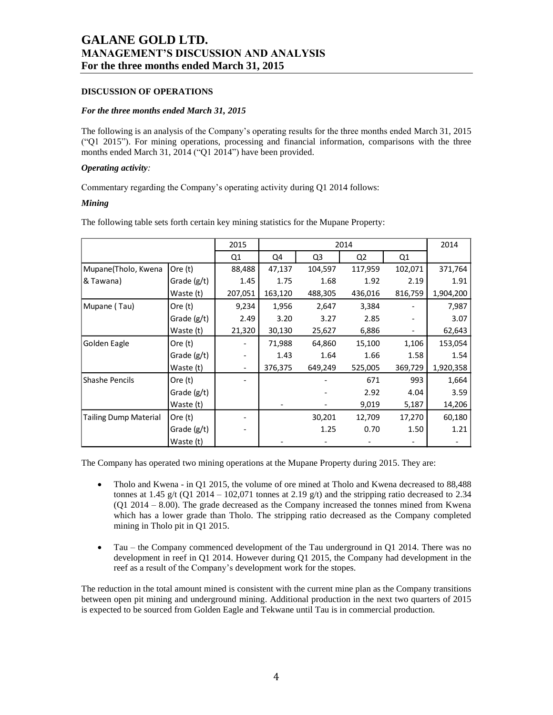### **DISCUSSION OF OPERATIONS**

#### *For the three months ended March 31, 2015*

The following is an analysis of the Company's operating results for the three months ended March 31, 2015 ("Q1 2015"). For mining operations, processing and financial information, comparisons with the three months ended March 31, 2014 ("Q1 2014") have been provided.

### *Operating activity:*

Commentary regarding the Company's operating activity during Q1 2014 follows:

### *Mining*

The following table sets forth certain key mining statistics for the Mupane Property:

|                              |             | 2015                     | 2014    |                |                |         |           |
|------------------------------|-------------|--------------------------|---------|----------------|----------------|---------|-----------|
|                              |             | Q1                       | Q4      | Q <sub>3</sub> | Q <sub>2</sub> | Q1      |           |
| Mupane(Tholo, Kwena          | Ore $(t)$   | 88,488                   | 47,137  | 104,597        | 117,959        | 102,071 | 371,764   |
| & Tawana)                    | Grade (g/t) | 1.45                     | 1.75    | 1.68           | 1.92           | 2.19    | 1.91      |
|                              | Waste (t)   | 207,051                  | 163,120 | 488,305        | 436,016        | 816,759 | 1,904,200 |
| Mupane (Tau)                 | Ore (t)     | 9,234                    | 1,956   | 2,647          | 3,384          |         | 7,987     |
|                              | Grade (g/t) | 2.49                     | 3.20    | 3.27           | 2.85           |         | 3.07      |
|                              | Waste (t)   | 21,320                   | 30,130  | 25,627         | 6,886          |         | 62,643    |
| Golden Eagle                 | Ore (t)     |                          | 71,988  | 64,860         | 15,100         | 1,106   | 153,054   |
|                              | Grade (g/t) |                          | 1.43    | 1.64           | 1.66           | 1.58    | 1.54      |
|                              | Waste (t)   | $\overline{\phantom{a}}$ | 376,375 | 649,249        | 525,005        | 369,729 | 1,920,358 |
| <b>Shashe Pencils</b>        | Ore (t)     |                          |         |                | 671            | 993     | 1,664     |
|                              | Grade (g/t) |                          |         |                | 2.92           | 4.04    | 3.59      |
|                              | Waste (t)   |                          |         |                | 9,019          | 5,187   | 14,206    |
| <b>Tailing Dump Material</b> | Ore (t)     |                          |         | 30,201         | 12,709         | 17,270  | 60,180    |
|                              | Grade (g/t) |                          |         | 1.25           | 0.70           | 1.50    | 1.21      |
|                              | Waste (t)   |                          |         |                |                |         |           |

The Company has operated two mining operations at the Mupane Property during 2015. They are:

- Tholo and Kwena in Q1 2015, the volume of ore mined at Tholo and Kwena decreased to 88,488 tonnes at 1.45 g/t (Q1 2014 – 102,071 tonnes at 2.19 g/t) and the stripping ratio decreased to 2.34 (Q1 2014 – 8.00). The grade decreased as the Company increased the tonnes mined from Kwena which has a lower grade than Tholo. The stripping ratio decreased as the Company completed mining in Tholo pit in Q1 2015.
- Tau the Company commenced development of the Tau underground in Q1 2014. There was no development in reef in Q1 2014. However during Q1 2015, the Company had development in the reef as a result of the Company's development work for the stopes.

The reduction in the total amount mined is consistent with the current mine plan as the Company transitions between open pit mining and underground mining. Additional production in the next two quarters of 2015 is expected to be sourced from Golden Eagle and Tekwane until Tau is in commercial production.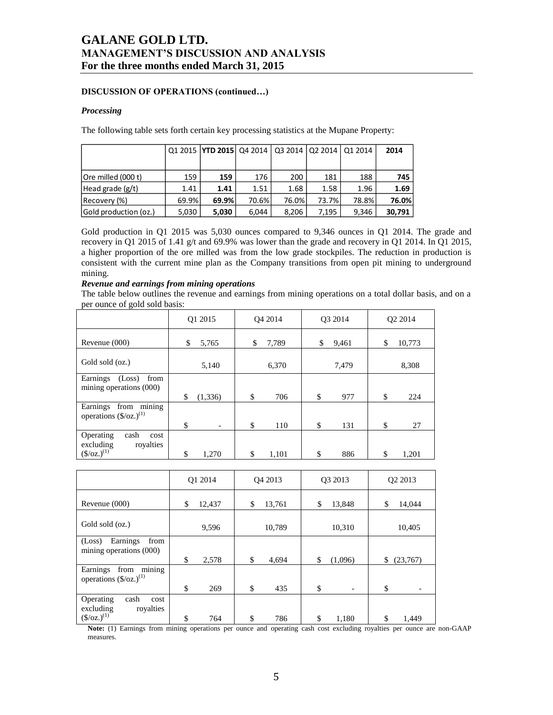### **DISCUSSION OF OPERATIONS (continued…)**

#### *Processing*

The following table sets forth certain key processing statistics at the Mupane Property:

|                       |       | 01 2015 <b>TYD 2015</b> 04 2014 03 2014 02 2014 |       |       |       | 01 2014 | 2014   |
|-----------------------|-------|-------------------------------------------------|-------|-------|-------|---------|--------|
|                       |       |                                                 |       |       |       |         |        |
| Ore milled (000 t)    | 159   | 159                                             | 176   | 200   | 181   | 188     | 745    |
| Head grade (g/t)      | 1.41  | 1.41                                            | 1.51  | 1.68  | 1.58  | 1.96    | 1.69   |
| Recovery (%)          | 69.9% | 69.9%                                           | 70.6% | 76.0% | 73.7% | 78.8%   | 76.0%  |
| Gold production (oz.) | 5,030 | 5,030                                           | 6.044 | 8.206 | 7.195 | 9,346   | 30,791 |

Gold production in Q1 2015 was 5,030 ounces compared to 9,346 ounces in Q1 2014. The grade and recovery in Q1 2015 of 1.41 g/t and 69.9% was lower than the grade and recovery in Q1 2014. In Q1 2015, a higher proportion of the ore milled was from the low grade stockpiles. The reduction in production is consistent with the current mine plan as the Company transitions from open pit mining to underground mining.

### *Revenue and earnings from mining operations*

The table below outlines the revenue and earnings from mining operations on a total dollar basis, and on a per ounce of gold sold basis:

|                                                                                    | Q1 2015                        | O <sub>4</sub> 2014 | O3 2014     | O <sub>2</sub> 2014 |
|------------------------------------------------------------------------------------|--------------------------------|---------------------|-------------|---------------------|
| Revenue (000)                                                                      | \$<br>5,765                    | \$<br>7,789         | \$<br>9,461 | 10,773<br>\$        |
| Gold sold (oz.)                                                                    | 5,140                          | 6,370               | 7,479       | 8,308               |
| Earnings<br>from<br>(Loss)<br>mining operations (000)                              | \$<br>(1, 336)                 | \$<br>706           | \$<br>977   | \$<br>224           |
| from mining<br>Earnings<br>operations $(\frac{6}{2})^{(1)}$                        | \$<br>$\overline{\phantom{a}}$ | \$<br>110           | \$<br>131   | \$<br>27            |
| Operating<br>cash<br>cost<br>royalties<br>excluding<br>$(\frac{\csc(1)}{2})^{(1)}$ | \$<br>1,270                    | \$<br>1.101         | \$<br>886   | \$.<br>1,201        |

|                                                                | Q1 2014      | Q4 2013 |        | O <sub>3</sub> 2013 |                          | O <sub>2</sub> 2013 |
|----------------------------------------------------------------|--------------|---------|--------|---------------------|--------------------------|---------------------|
| Revenue $(000)$                                                | \$<br>12,437 | \$      | 13,761 | \$                  | 13,848                   | \$<br>14,044        |
| Gold sold (oz.)                                                | 9,596        |         | 10,789 |                     | 10,310                   | 10,405              |
| from<br>Earnings<br>(Loss)                                     |              |         |        |                     |                          |                     |
| mining operations (000)                                        | \$<br>2,578  | \$      | 4,694  | \$                  | (1,096)                  | \$<br>(23, 767)     |
| mining<br>from<br>Earnings<br>operations $(\frac{6}{2})^{(1)}$ |              |         |        |                     |                          |                     |
|                                                                | \$<br>269    | \$      | 435    | \$                  | $\overline{\phantom{0}}$ | \$                  |
| Operating<br>cash<br>cost<br>royalties<br>excluding            |              |         |        |                     |                          |                     |
| $(\frac{\csc(1)}{2})^{(1)}$                                    | \$<br>764    | \$      | 786    | \$                  | 1,180                    | \$<br>1,449         |

**Note:** (1) Earnings from mining operations per ounce and operating cash cost excluding royalties per ounce are non-GAAP measures.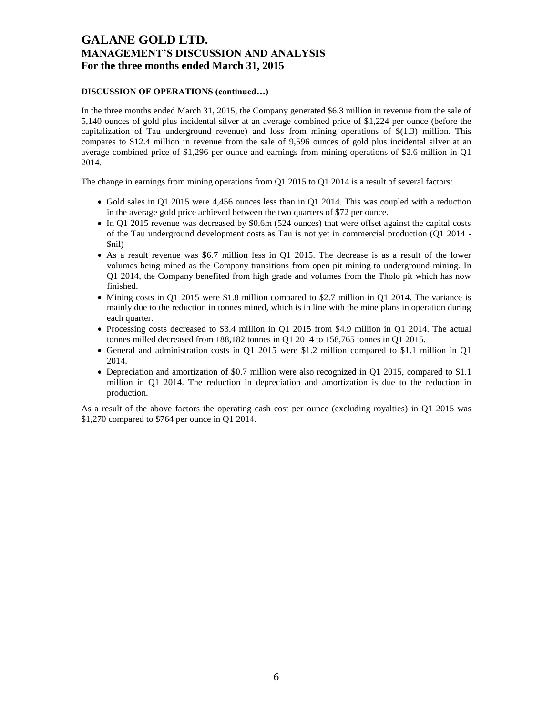### **DISCUSSION OF OPERATIONS (continued…)**

In the three months ended March 31, 2015, the Company generated \$6.3 million in revenue from the sale of 5,140 ounces of gold plus incidental silver at an average combined price of \$1,224 per ounce (before the capitalization of Tau underground revenue) and loss from mining operations of \$(1.3) million. This compares to \$12.4 million in revenue from the sale of 9,596 ounces of gold plus incidental silver at an average combined price of \$1,296 per ounce and earnings from mining operations of \$2.6 million in Q1 2014.

The change in earnings from mining operations from Q1 2015 to Q1 2014 is a result of several factors:

- Gold sales in Q1 2015 were 4,456 ounces less than in Q1 2014. This was coupled with a reduction in the average gold price achieved between the two quarters of \$72 per ounce.
- In Q1 2015 revenue was decreased by \$0.6m (524 ounces) that were offset against the capital costs of the Tau underground development costs as Tau is not yet in commercial production (Q1 2014 - \$nil)
- As a result revenue was \$6.7 million less in Q1 2015. The decrease is as a result of the lower volumes being mined as the Company transitions from open pit mining to underground mining. In Q1 2014, the Company benefited from high grade and volumes from the Tholo pit which has now finished.
- $\bullet$  Mining costs in Q1 2015 were \$1.8 million compared to \$2.7 million in Q1 2014. The variance is mainly due to the reduction in tonnes mined, which is in line with the mine plans in operation during each quarter.
- Processing costs decreased to \$3.4 million in Q1 2015 from \$4.9 million in Q1 2014. The actual tonnes milled decreased from 188,182 tonnes in Q1 2014 to 158,765 tonnes in Q1 2015.
- General and administration costs in Q1 2015 were \$1.2 million compared to \$1.1 million in Q1 2014.
- Depreciation and amortization of \$0.7 million were also recognized in Q1 2015, compared to \$1.1 million in Q1 2014. The reduction in depreciation and amortization is due to the reduction in production.

As a result of the above factors the operating cash cost per ounce (excluding royalties) in Q1 2015 was \$1,270 compared to \$764 per ounce in Q1 2014.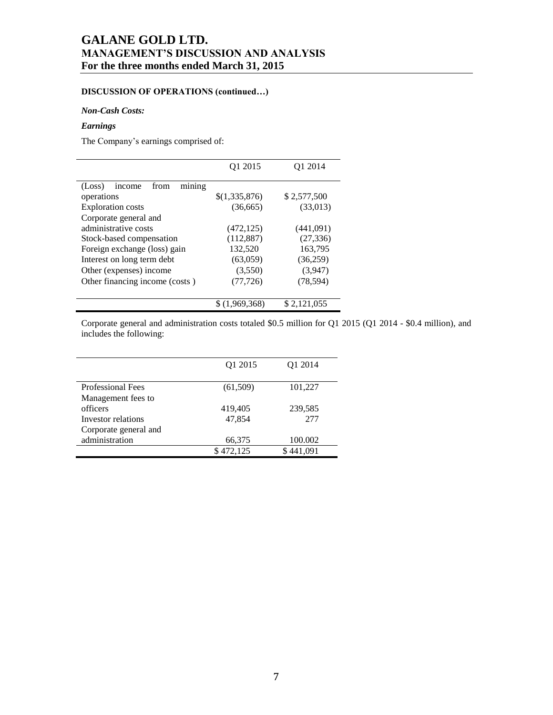## **DISCUSSION OF OPERATIONS (continued…)**

### *Non-Cash Costs:*

### *Earnings*

The Company's earnings comprised of:

|                                    | Q1 2015       | O1 2014     |  |  |
|------------------------------------|---------------|-------------|--|--|
| mining<br>(Loss)<br>from<br>income |               |             |  |  |
| operations                         | \$(1,335,876) | \$2,577,500 |  |  |
| <b>Exploration</b> costs           | (36,665)      | (33,013)    |  |  |
| Corporate general and              |               |             |  |  |
| administrative costs               | (472, 125)    | (441,091)   |  |  |
| Stock-based compensation           | (112, 887)    | (27, 336)   |  |  |
| Foreign exchange (loss) gain       | 132,520       | 163,795     |  |  |
| Interest on long term debt         | (63,059)      | (36,259)    |  |  |
| Other (expenses) income            | (3,550)       | (3,947)     |  |  |
| Other financing income (costs)     | (77, 726)     | (78, 594)   |  |  |
|                                    | \$(1,969,368) | \$2,121,055 |  |  |

Corporate general and administration costs totaled \$0.5 million for Q1 2015 (Q1 2014 - \$0.4 million), and includes the following:

|                          | O <sub>1</sub> 2015 | O <sub>1</sub> 2014 |
|--------------------------|---------------------|---------------------|
| <b>Professional Fees</b> | (61,509)            | 101,227             |
| Management fees to       |                     |                     |
| officers                 | 419,405             | 239,585             |
| Investor relations       | 47,854              | 277                 |
| Corporate general and    |                     |                     |
| administration           | 66,375              | 100.002             |
|                          | \$472,125           | \$441,091           |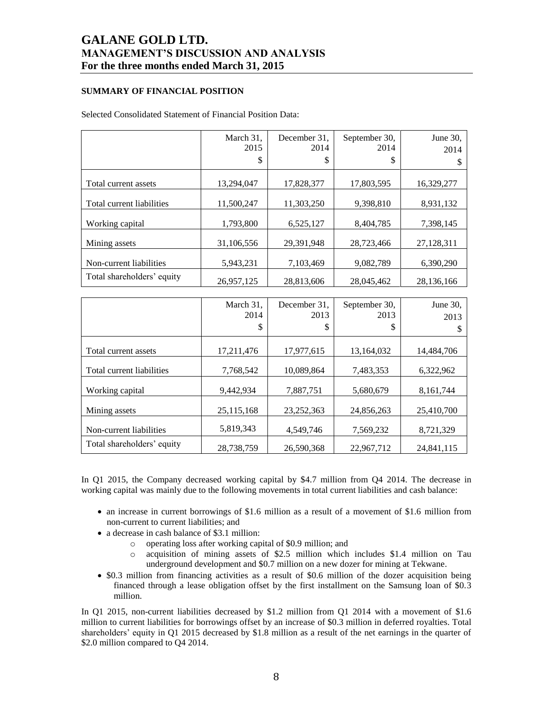### **SUMMARY OF FINANCIAL POSITION**

Selected Consolidated Statement of Financial Position Data:

|                            | March 31,<br>2015 | December 31,<br>2014 | September 30,<br>2014 | June 30,<br>2014 |
|----------------------------|-------------------|----------------------|-----------------------|------------------|
|                            | \$                | \$                   | \$                    | S                |
| Total current assets       | 13,294,047        | 17,828,377           | 17,803,595            | 16,329,277       |
| Total current liabilities  | 11,500,247        | 11,303,250           | 9,398,810             | 8,931,132        |
| Working capital            | 1,793,800         | 6,525,127            | 8,404,785             | 7,398,145        |
| Mining assets              | 31,106,556        | 29,391,948           | 28,723,466            | 27,128,311       |
| Non-current liabilities    | 5,943,231         | 7,103,469            | 9,082,789             | 6,390,290        |
| Total shareholders' equity | 26,957,125        | 28,813,606           | 28,045,462            | 28,136,166       |

|                            | March 31,<br>2014 | December 31,<br>2013 | September 30,<br>2013 | June 30,   |
|----------------------------|-------------------|----------------------|-----------------------|------------|
|                            | \$                | \$                   | \$                    | 2013       |
| Total current assets       | 17,211,476        | 17,977,615           | 13,164,032            | 14,484,706 |
| Total current liabilities  | 7,768,542         | 10,089,864           | 7,483,353             | 6,322,962  |
| Working capital            | 9.442.934         | 7,887,751            | 5,680,679             | 8,161,744  |
| Mining assets              | 25,115,168        | 23, 252, 363         | 24,856,263            | 25,410,700 |
| Non-current liabilities    | 5,819,343         | 4,549,746            | 7,569,232             | 8,721,329  |
| Total shareholders' equity | 28,738,759        | 26,590,368           | 22,967,712            | 24,841,115 |

In Q1 2015, the Company decreased working capital by \$4.7 million from Q4 2014. The decrease in working capital was mainly due to the following movements in total current liabilities and cash balance:

- an increase in current borrowings of \$1.6 million as a result of a movement of \$1.6 million from non-current to current liabilities; and
- a decrease in cash balance of \$3.1 million:
	- o operating loss after working capital of \$0.9 million; and
	- o acquisition of mining assets of \$2.5 million which includes \$1.4 million on Tau underground development and \$0.7 million on a new dozer for mining at Tekwane.
- \$0.3 million from financing activities as a result of \$0.6 million of the dozer acquisition being financed through a lease obligation offset by the first installment on the Samsung loan of \$0.3 million.

In Q1 2015, non-current liabilities decreased by \$1.2 million from Q1 2014 with a movement of \$1.6 million to current liabilities for borrowings offset by an increase of \$0.3 million in deferred royalties. Total shareholders' equity in Q1 2015 decreased by \$1.8 million as a result of the net earnings in the quarter of \$2.0 million compared to Q4 2014.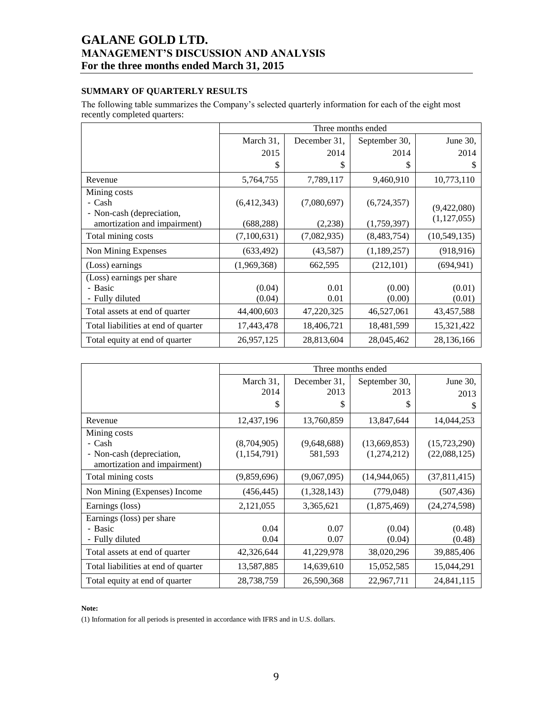## **SUMMARY OF QUARTERLY RESULTS**

The following table summarizes the Company's selected quarterly information for each of the eight most recently completed quarters:

|                                     | Three months ended |              |               |                |  |  |  |
|-------------------------------------|--------------------|--------------|---------------|----------------|--|--|--|
|                                     | March 31,          | December 31, | September 30, | June $30$ ,    |  |  |  |
|                                     | 2015               | 2014         | 2014          | 2014           |  |  |  |
|                                     | \$                 | \$           | \$            | \$             |  |  |  |
| Revenue                             | 5,764,755          | 7,789,117    | 9,460,910     | 10,773,110     |  |  |  |
| Mining costs                        |                    |              |               |                |  |  |  |
| - Cash                              | (6,412,343)        | (7,080,697)  | (6,724,357)   | (9,422,080)    |  |  |  |
| - Non-cash (depreciation,           |                    |              |               | (1, 127, 055)  |  |  |  |
| amortization and impairment)        | (688, 288)         | (2,238)      | (1,759,397)   |                |  |  |  |
| Total mining costs                  | (7,100,631)        | (7,082,935)  | (8,483,754)   | (10, 549, 135) |  |  |  |
| Non Mining Expenses                 | (633, 492)         | (43,587)     | (1,189,257)   | (918, 916)     |  |  |  |
| (Loss) earnings                     | (1,969,368)        | 662,595      | (212, 101)    | (694, 941)     |  |  |  |
| (Loss) earnings per share           |                    |              |               |                |  |  |  |
| - Basic                             | (0.04)             | 0.01         | (0.00)        | (0.01)         |  |  |  |
| - Fully diluted                     | (0.04)             | 0.01         | (0.00)        | (0.01)         |  |  |  |
| Total assets at end of quarter      | 44,400,603         | 47,220,325   | 46,527,061    | 43,457,588     |  |  |  |
| Total liabilities at end of quarter | 17,443,478         | 18,406,721   | 18,481,599    | 15,321,422     |  |  |  |
| Total equity at end of quarter      | 26,957,125         | 28,813,604   | 28,045,462    | 28,136,166     |  |  |  |

|                                                           | Three months ended |                      |                       |                  |  |  |  |  |
|-----------------------------------------------------------|--------------------|----------------------|-----------------------|------------------|--|--|--|--|
|                                                           | March 31,<br>2014  | December 31,<br>2013 | September 30,<br>2013 | June 30,<br>2013 |  |  |  |  |
|                                                           | \$                 | \$                   | S                     | \$               |  |  |  |  |
| Revenue                                                   | 12,437,196         | 13,760,859           | 13,847,644            | 14,044,253       |  |  |  |  |
| Mining costs                                              |                    |                      |                       |                  |  |  |  |  |
| - Cash                                                    | (8,704,905)        | (9,648,688)          | (13,669,853)          | (15, 723, 290)   |  |  |  |  |
| - Non-cash (depreciation,<br>amortization and impairment) | (1,154,791)        | 581,593              | (1,274,212)           | (22,088,125)     |  |  |  |  |
| Total mining costs                                        | (9,859,696)        | (9,067,095)          | (14, 944, 065)        | (37,811,415)     |  |  |  |  |
| Non Mining (Expenses) Income                              | (456, 445)         | (1,328,143)          | (779, 048)            | (507, 436)       |  |  |  |  |
| Earnings (loss)                                           | 2,121,055          | 3,365,621            | (1,875,469)           | (24, 274, 598)   |  |  |  |  |
| Earnings (loss) per share                                 |                    |                      |                       |                  |  |  |  |  |
| - Basic                                                   | 0.04               | 0.07                 | (0.04)                | (0.48)           |  |  |  |  |
| - Fully diluted                                           | 0.04               | 0.07                 | (0.04)                | (0.48)           |  |  |  |  |
| Total assets at end of quarter                            | 42,326,644         | 41,229,978           | 38,020,296            | 39,885,406       |  |  |  |  |
| Total liabilities at end of quarter                       | 13,587,885         | 14,639,610           | 15,052,585            | 15,044,291       |  |  |  |  |
| Total equity at end of quarter                            | 28,738,759         | 26,590,368           | 22,967,711            | 24,841,115       |  |  |  |  |

#### **Note:**

(1) Information for all periods is presented in accordance with IFRS and in U.S. dollars.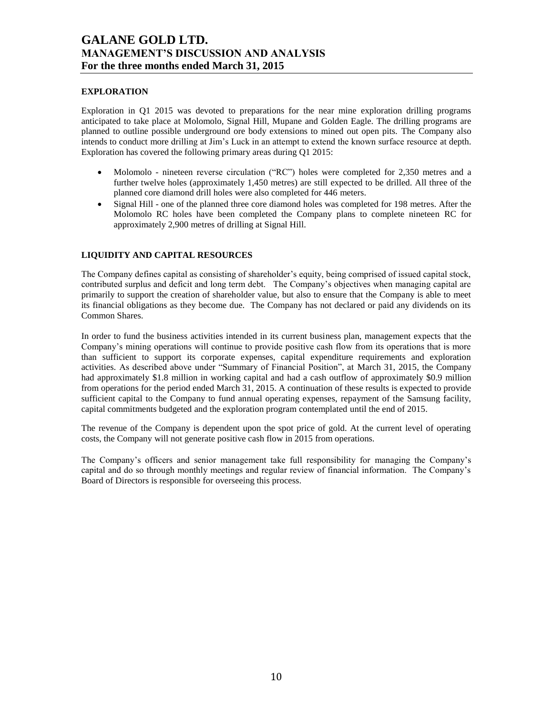### **EXPLORATION**

Exploration in Q1 2015 was devoted to preparations for the near mine exploration drilling programs anticipated to take place at Molomolo, Signal Hill, Mupane and Golden Eagle. The drilling programs are planned to outline possible underground ore body extensions to mined out open pits. The Company also intends to conduct more drilling at Jim's Luck in an attempt to extend the known surface resource at depth. Exploration has covered the following primary areas during Q1 2015:

- Molomolo nineteen reverse circulation ("RC") holes were completed for 2,350 metres and a further twelve holes (approximately 1,450 metres) are still expected to be drilled. All three of the planned core diamond drill holes were also completed for 446 meters.
- Signal Hill one of the planned three core diamond holes was completed for 198 metres. After the Molomolo RC holes have been completed the Company plans to complete nineteen RC for approximately 2,900 metres of drilling at Signal Hill.

### **LIQUIDITY AND CAPITAL RESOURCES**

The Company defines capital as consisting of shareholder's equity, being comprised of issued capital stock, contributed surplus and deficit and long term debt. The Company's objectives when managing capital are primarily to support the creation of shareholder value, but also to ensure that the Company is able to meet its financial obligations as they become due. The Company has not declared or paid any dividends on its Common Shares.

In order to fund the business activities intended in its current business plan, management expects that the Company's mining operations will continue to provide positive cash flow from its operations that is more than sufficient to support its corporate expenses, capital expenditure requirements and exploration activities. As described above under "Summary of Financial Position", at March 31, 2015, the Company had approximately \$1.8 million in working capital and had a cash outflow of approximately \$0.9 million from operations for the period ended March 31, 2015. A continuation of these results is expected to provide sufficient capital to the Company to fund annual operating expenses, repayment of the Samsung facility, capital commitments budgeted and the exploration program contemplated until the end of 2015.

The revenue of the Company is dependent upon the spot price of gold. At the current level of operating costs, the Company will not generate positive cash flow in 2015 from operations.

The Company's officers and senior management take full responsibility for managing the Company's capital and do so through monthly meetings and regular review of financial information. The Company's Board of Directors is responsible for overseeing this process.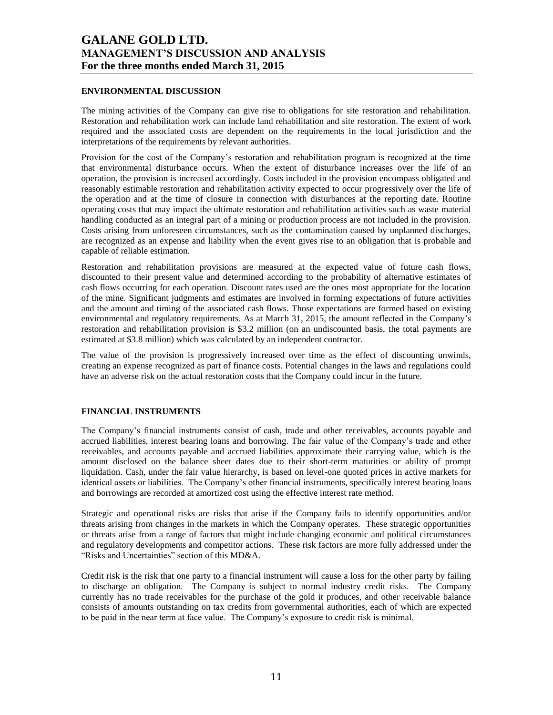### **ENVIRONMENTAL DISCUSSION**

The mining activities of the Company can give rise to obligations for site restoration and rehabilitation. Restoration and rehabilitation work can include land rehabilitation and site restoration. The extent of work required and the associated costs are dependent on the requirements in the local jurisdiction and the interpretations of the requirements by relevant authorities.

Provision for the cost of the Company's restoration and rehabilitation program is recognized at the time that environmental disturbance occurs. When the extent of disturbance increases over the life of an operation, the provision is increased accordingly. Costs included in the provision encompass obligated and reasonably estimable restoration and rehabilitation activity expected to occur progressively over the life of the operation and at the time of closure in connection with disturbances at the reporting date. Routine operating costs that may impact the ultimate restoration and rehabilitation activities such as waste material handling conducted as an integral part of a mining or production process are not included in the provision. Costs arising from unforeseen circumstances, such as the contamination caused by unplanned discharges, are recognized as an expense and liability when the event gives rise to an obligation that is probable and capable of reliable estimation.

Restoration and rehabilitation provisions are measured at the expected value of future cash flows, discounted to their present value and determined according to the probability of alternative estimates of cash flows occurring for each operation. Discount rates used are the ones most appropriate for the location of the mine. Significant judgments and estimates are involved in forming expectations of future activities and the amount and timing of the associated cash flows. Those expectations are formed based on existing environmental and regulatory requirements. As at March 31, 2015, the amount reflected in the Company's restoration and rehabilitation provision is \$3.2 million (on an undiscounted basis, the total payments are estimated at \$3.8 million) which was calculated by an independent contractor.

The value of the provision is progressively increased over time as the effect of discounting unwinds, creating an expense recognized as part of finance costs. Potential changes in the laws and regulations could have an adverse risk on the actual restoration costs that the Company could incur in the future.

### **FINANCIAL INSTRUMENTS**

The Company's financial instruments consist of cash, trade and other receivables, accounts payable and accrued liabilities, interest bearing loans and borrowing. The fair value of the Company's trade and other receivables, and accounts payable and accrued liabilities approximate their carrying value, which is the amount disclosed on the balance sheet dates due to their short-term maturities or ability of prompt liquidation. Cash, under the fair value hierarchy, is based on level-one quoted prices in active markets for identical assets or liabilities. The Company's other financial instruments, specifically interest bearing loans and borrowings are recorded at amortized cost using the effective interest rate method.

Strategic and operational risks are risks that arise if the Company fails to identify opportunities and/or threats arising from changes in the markets in which the Company operates. These strategic opportunities or threats arise from a range of factors that might include changing economic and political circumstances and regulatory developments and competitor actions. These risk factors are more fully addressed under the "Risks and Uncertainties" section of this MD&A.

Credit risk is the risk that one party to a financial instrument will cause a loss for the other party by failing to discharge an obligation. The Company is subject to normal industry credit risks. The Company currently has no trade receivables for the purchase of the gold it produces, and other receivable balance consists of amounts outstanding on tax credits from governmental authorities, each of which are expected to be paid in the near term at face value. The Company's exposure to credit risk is minimal.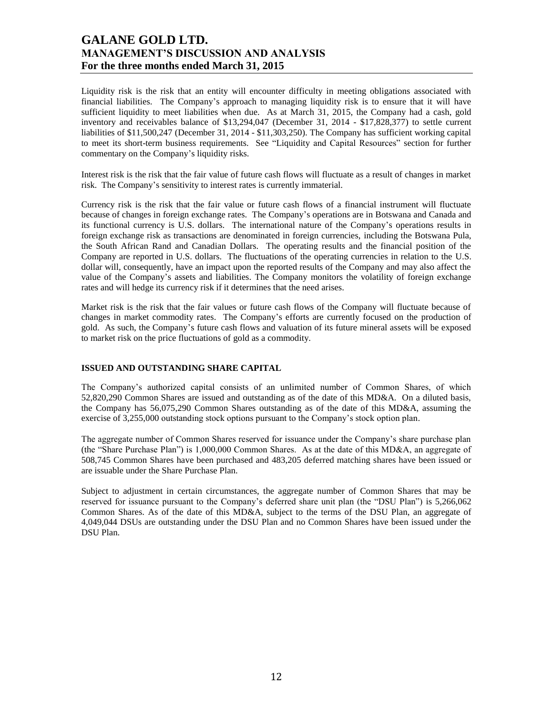Liquidity risk is the risk that an entity will encounter difficulty in meeting obligations associated with financial liabilities. The Company's approach to managing liquidity risk is to ensure that it will have sufficient liquidity to meet liabilities when due. As at March 31, 2015, the Company had a cash, gold inventory and receivables balance of \$13,294,047 (December 31, 2014 - \$17,828,377) to settle current liabilities of \$11,500,247 (December 31, 2014 - \$11,303,250). The Company has sufficient working capital to meet its short-term business requirements. See "Liquidity and Capital Resources" section for further commentary on the Company's liquidity risks.

Interest risk is the risk that the fair value of future cash flows will fluctuate as a result of changes in market risk. The Company's sensitivity to interest rates is currently immaterial.

Currency risk is the risk that the fair value or future cash flows of a financial instrument will fluctuate because of changes in foreign exchange rates. The Company's operations are in Botswana and Canada and its functional currency is U.S. dollars. The international nature of the Company's operations results in foreign exchange risk as transactions are denominated in foreign currencies, including the Botswana Pula, the South African Rand and Canadian Dollars. The operating results and the financial position of the Company are reported in U.S. dollars. The fluctuations of the operating currencies in relation to the U.S. dollar will, consequently, have an impact upon the reported results of the Company and may also affect the value of the Company's assets and liabilities. The Company monitors the volatility of foreign exchange rates and will hedge its currency risk if it determines that the need arises.

Market risk is the risk that the fair values or future cash flows of the Company will fluctuate because of changes in market commodity rates. The Company's efforts are currently focused on the production of gold. As such, the Company's future cash flows and valuation of its future mineral assets will be exposed to market risk on the price fluctuations of gold as a commodity.

### **ISSUED AND OUTSTANDING SHARE CAPITAL**

The Company's authorized capital consists of an unlimited number of Common Shares, of which 52,820,290 Common Shares are issued and outstanding as of the date of this MD&A. On a diluted basis, the Company has 56,075,290 Common Shares outstanding as of the date of this MD&A, assuming the exercise of 3,255,000 outstanding stock options pursuant to the Company's stock option plan.

The aggregate number of Common Shares reserved for issuance under the Company's share purchase plan (the "Share Purchase Plan") is 1,000,000 Common Shares. As at the date of this MD&A, an aggregate of 508,745 Common Shares have been purchased and 483,205 deferred matching shares have been issued or are issuable under the Share Purchase Plan.

Subject to adjustment in certain circumstances, the aggregate number of Common Shares that may be reserved for issuance pursuant to the Company's deferred share unit plan (the "DSU Plan") is 5,266,062 Common Shares. As of the date of this MD&A, subject to the terms of the DSU Plan, an aggregate of 4,049,044 DSUs are outstanding under the DSU Plan and no Common Shares have been issued under the DSU Plan.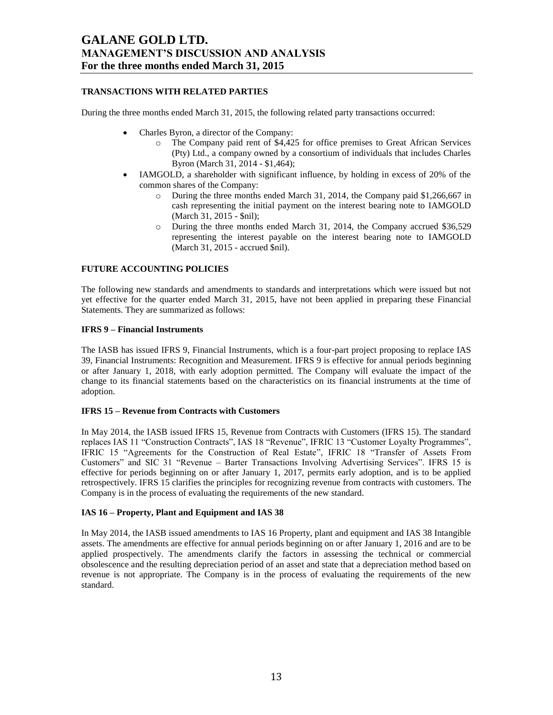### **TRANSACTIONS WITH RELATED PARTIES**

During the three months ended March 31, 2015, the following related party transactions occurred:

- Charles Byron, a director of the Company:
	- o The Company paid rent of \$4,425 for office premises to Great African Services (Pty) Ltd., a company owned by a consortium of individuals that includes Charles Byron (March 31, 2014 - \$1,464);
- IAMGOLD, a shareholder with significant influence, by holding in excess of 20% of the common shares of the Company:
	- o During the three months ended March 31, 2014, the Company paid \$1,266,667 in cash representing the initial payment on the interest bearing note to IAMGOLD (March 31, 2015 - \$nil);
	- o During the three months ended March 31, 2014, the Company accrued \$36,529 representing the interest payable on the interest bearing note to IAMGOLD (March 31, 2015 - accrued \$nil).

### **FUTURE ACCOUNTING POLICIES**

The following new standards and amendments to standards and interpretations which were issued but not yet effective for the quarter ended March 31, 2015, have not been applied in preparing these Financial Statements. They are summarized as follows:

### **IFRS 9 – Financial Instruments**

The IASB has issued IFRS 9, Financial Instruments, which is a four-part project proposing to replace IAS 39, Financial Instruments: Recognition and Measurement. IFRS 9 is effective for annual periods beginning or after January 1, 2018, with early adoption permitted. The Company will evaluate the impact of the change to its financial statements based on the characteristics on its financial instruments at the time of adoption.

### **IFRS 15 – Revenue from Contracts with Customers**

In May 2014, the IASB issued IFRS 15, Revenue from Contracts with Customers (IFRS 15). The standard replaces IAS 11 "Construction Contracts", IAS 18 "Revenue", IFRIC 13 "Customer Loyalty Programmes", IFRIC 15 "Agreements for the Construction of Real Estate", IFRIC 18 "Transfer of Assets From Customers" and SIC 31 "Revenue – Barter Transactions Involving Advertising Services". IFRS 15 is effective for periods beginning on or after January 1, 2017, permits early adoption, and is to be applied retrospectively. IFRS 15 clarifies the principles for recognizing revenue from contracts with customers. The Company is in the process of evaluating the requirements of the new standard.

### **IAS 16 – Property, Plant and Equipment and IAS 38**

In May 2014, the IASB issued amendments to IAS 16 Property, plant and equipment and IAS 38 Intangible assets. The amendments are effective for annual periods beginning on or after January 1, 2016 and are to be applied prospectively. The amendments clarify the factors in assessing the technical or commercial obsolescence and the resulting depreciation period of an asset and state that a depreciation method based on revenue is not appropriate. The Company is in the process of evaluating the requirements of the new standard.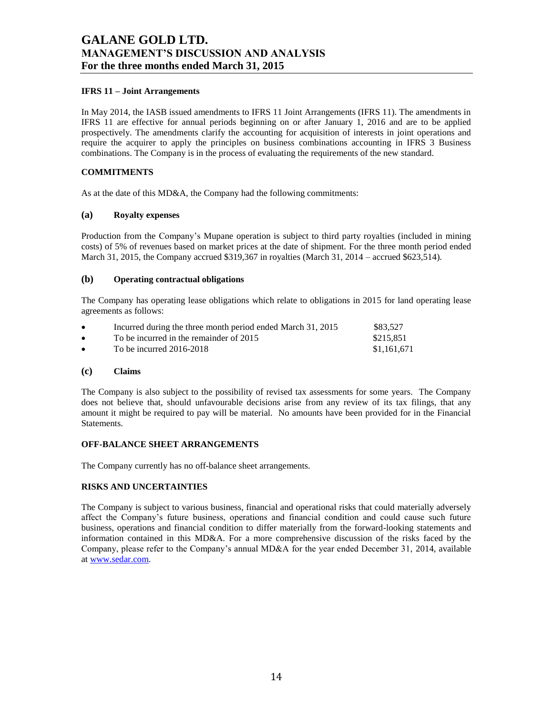### **IFRS 11 – Joint Arrangements**

In May 2014, the IASB issued amendments to IFRS 11 Joint Arrangements (IFRS 11). The amendments in IFRS 11 are effective for annual periods beginning on or after January 1, 2016 and are to be applied prospectively. The amendments clarify the accounting for acquisition of interests in joint operations and require the acquirer to apply the principles on business combinations accounting in IFRS 3 Business combinations. The Company is in the process of evaluating the requirements of the new standard.

### **COMMITMENTS**

As at the date of this MD&A, the Company had the following commitments:

### **(a) Royalty expenses**

Production from the Company's Mupane operation is subject to third party royalties (included in mining costs) of 5% of revenues based on market prices at the date of shipment. For the three month period ended March 31, 2015, the Company accrued \$319,367 in royalties (March 31, 2014 – accrued \$623,514).

### **(b) Operating contractual obligations**

The Company has operating lease obligations which relate to obligations in 2015 for land operating lease agreements as follows:

| $\bullet$ | Incurred during the three month period ended March 31, 2015 | \$83.527    |
|-----------|-------------------------------------------------------------|-------------|
| $\bullet$ | To be incurred in the remainder of 2015                     | \$215.851   |
| $\bullet$ | To be incurred $2016-2018$                                  | \$1,161,671 |

#### **(c) Claims**

The Company is also subject to the possibility of revised tax assessments for some years. The Company does not believe that, should unfavourable decisions arise from any review of its tax filings, that any amount it might be required to pay will be material. No amounts have been provided for in the Financial Statements.

### **OFF-BALANCE SHEET ARRANGEMENTS**

The Company currently has no off-balance sheet arrangements.

### **RISKS AND UNCERTAINTIES**

The Company is subject to various business, financial and operational risks that could materially adversely affect the Company's future business, operations and financial condition and could cause such future business, operations and financial condition to differ materially from the forward-looking statements and information contained in this MD&A. For a more comprehensive discussion of the risks faced by the Company, please refer to the Company's annual MD&A for the year ended December 31, 2014, available a[t www.sedar.com.](http://www.sedar.com/)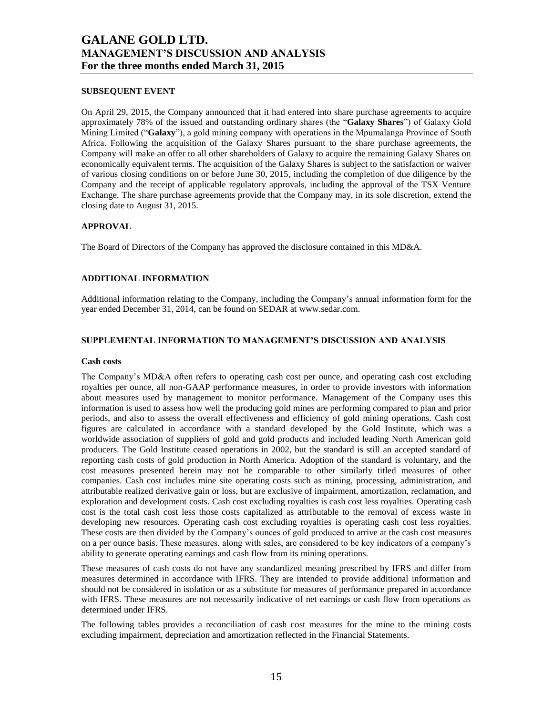#### **SUBSEQUENT EVENT**

On April 29, 2015, the Company announced that it had entered into share purchase agreements to acquire approximately 78% of the issued and outstanding ordinary shares (the "**Galaxy Shares**") of Galaxy Gold Mining Limited ("**Galaxy**"), a gold mining company with operations in the Mpumalanga Province of South Africa. Following the acquisition of the Galaxy Shares pursuant to the share purchase agreements, the Company will make an offer to all other shareholders of Galaxy to acquire the remaining Galaxy Shares on economically equivalent terms. The acquisition of the Galaxy Shares is subject to the satisfaction or waiver of various closing conditions on or before June 30, 2015, including the completion of due diligence by the Company and the receipt of applicable regulatory approvals, including the approval of the TSX Venture Exchange. The share purchase agreements provide that the Company may, in its sole discretion, extend the closing date to August 31, 2015.

### **APPROVAL**

The Board of Directors of the Company has approved the disclosure contained in this MD&A.

### **ADDITIONAL INFORMATION**

Additional information relating to the Company, including the Company's annual information form for the year ended December 31, 2014, can be found on SEDAR at www.sedar.com.

### **SUPPLEMENTAL INFORMATION TO MANAGEMENT'S DISCUSSION AND ANALYSIS**

#### **Cash costs**

The Company's MD&A often refers to operating cash cost per ounce, and operating cash cost excluding royalties per ounce, all non-GAAP performance measures, in order to provide investors with information about measures used by management to monitor performance. Management of the Company uses this information is used to assess how well the producing gold mines are performing compared to plan and prior periods, and also to assess the overall effectiveness and efficiency of gold mining operations. Cash cost figures are calculated in accordance with a standard developed by the Gold Institute, which was a worldwide association of suppliers of gold and gold products and included leading North American gold producers. The Gold Institute ceased operations in 2002, but the standard is still an accepted standard of reporting cash costs of gold production in North America. Adoption of the standard is voluntary, and the cost measures presented herein may not be comparable to other similarly titled measures of other companies. Cash cost includes mine site operating costs such as mining, processing, administration, and attributable realized derivative gain or loss, but are exclusive of impairment, amortization, reclamation, and exploration and development costs. Cash cost excluding royalties is cash cost less royalties. Operating cash cost is the total cash cost less those costs capitalized as attributable to the removal of excess waste in developing new resources. Operating cash cost excluding royalties is operating cash cost less royalties. These costs are then divided by the Company's ounces of gold produced to arrive at the cash cost measures on a per ounce basis. These measures, along with sales, are considered to be key indicators of a company's ability to generate operating earnings and cash flow from its mining operations.

These measures of cash costs do not have any standardized meaning prescribed by IFRS and differ from measures determined in accordance with IFRS. They are intended to provide additional information and should not be considered in isolation or as a substitute for measures of performance prepared in accordance with IFRS. These measures are not necessarily indicative of net earnings or cash flow from operations as determined under IFRS.

The following tables provides a reconciliation of cash cost measures for the mine to the mining costs excluding impairment, depreciation and amortization reflected in the Financial Statements.